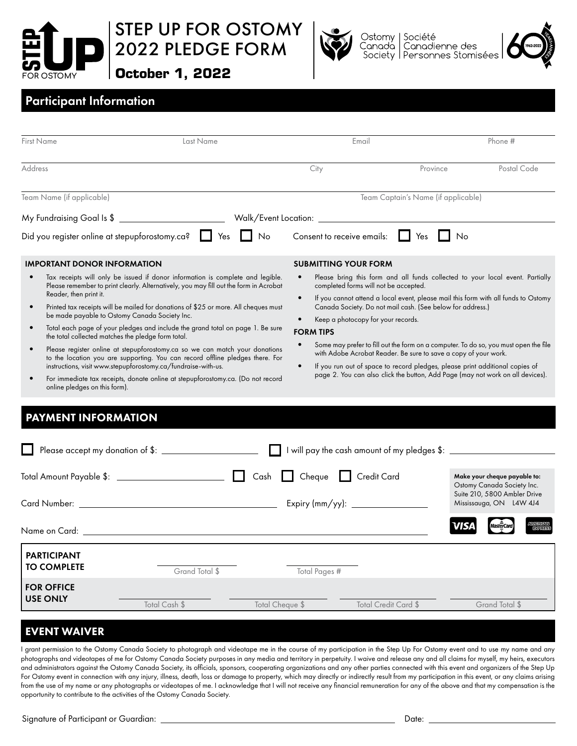

STEP UP FOR OSTOMY 2022 PLEDGE FORM





Ostomy | Société<br>Canada | Canadienne des<br>Society | Personnes Stomisées Ostomy Canadá



## Participant Information

| <b>First Name</b>                                                                                                                                                                                                                                                                                                                                                                                                                                                                                                                                                                                                                                                                                                                                                                                                                                                                                                        | Last Name                           | Email                                                                                                                     |                                                                                                                                                                                                                                                                                                                                                                                                                                                                                                                                                                | Phone #                                                                                    |  |  |  |  |
|--------------------------------------------------------------------------------------------------------------------------------------------------------------------------------------------------------------------------------------------------------------------------------------------------------------------------------------------------------------------------------------------------------------------------------------------------------------------------------------------------------------------------------------------------------------------------------------------------------------------------------------------------------------------------------------------------------------------------------------------------------------------------------------------------------------------------------------------------------------------------------------------------------------------------|-------------------------------------|---------------------------------------------------------------------------------------------------------------------------|----------------------------------------------------------------------------------------------------------------------------------------------------------------------------------------------------------------------------------------------------------------------------------------------------------------------------------------------------------------------------------------------------------------------------------------------------------------------------------------------------------------------------------------------------------------|--------------------------------------------------------------------------------------------|--|--|--|--|
| <b>Address</b>                                                                                                                                                                                                                                                                                                                                                                                                                                                                                                                                                                                                                                                                                                                                                                                                                                                                                                           |                                     | City                                                                                                                      | Province                                                                                                                                                                                                                                                                                                                                                                                                                                                                                                                                                       | Postal Code                                                                                |  |  |  |  |
| Team Name (if applicable)                                                                                                                                                                                                                                                                                                                                                                                                                                                                                                                                                                                                                                                                                                                                                                                                                                                                                                | Team Captain's Name (if applicable) |                                                                                                                           |                                                                                                                                                                                                                                                                                                                                                                                                                                                                                                                                                                |                                                                                            |  |  |  |  |
|                                                                                                                                                                                                                                                                                                                                                                                                                                                                                                                                                                                                                                                                                                                                                                                                                                                                                                                          |                                     |                                                                                                                           |                                                                                                                                                                                                                                                                                                                                                                                                                                                                                                                                                                |                                                                                            |  |  |  |  |
| Did you register online at stepupforostomy.ca?   Yes                                                                                                                                                                                                                                                                                                                                                                                                                                                                                                                                                                                                                                                                                                                                                                                                                                                                     | $\Box$ No                           | Consent to receive emails: $\Box$ Yes                                                                                     | $\mathsf{I}$ $\mathsf{N}$ $\circ$                                                                                                                                                                                                                                                                                                                                                                                                                                                                                                                              |                                                                                            |  |  |  |  |
| <b>IMPORTANT DONOR INFORMATION</b>                                                                                                                                                                                                                                                                                                                                                                                                                                                                                                                                                                                                                                                                                                                                                                                                                                                                                       |                                     | <b>SUBMITTING YOUR FORM</b>                                                                                               |                                                                                                                                                                                                                                                                                                                                                                                                                                                                                                                                                                |                                                                                            |  |  |  |  |
| Tax receipts will only be issued if donor information is complete and legible.<br>$\bullet$<br>Please remember to print clearly. Alternatively, you may fill out the form in Acrobat<br>Reader, then print it.<br>Printed tax receipts will be mailed for donations of \$25 or more. All cheques must<br>$\bullet$<br>be made payable to Ostomy Canada Society Inc.<br>Total each page of your pledges and include the grand total on page 1. Be sure<br>$\bullet$<br>the total collected matches the pledge form total.<br>Please register online at stepupforostomy.ca so we can match your donations<br>$\bullet$<br>to the location you are supporting. You can record offline pledges there. For<br>instructions, visit www.stepupforostomy.ca/fundraise-with-us.<br>For immediate tax receipts, donate online at stepupforostomy.ca. (Do not record<br>online pledges on this form).<br><b>PAYMENT INFORMATION</b> |                                     | $\bullet$<br>completed forms will not be accepted.<br>Keep a photocopy for your records.<br><b>FORM TIPS</b><br>$\bullet$ | Please bring this form and all funds collected to your local event. Partially<br>If you cannot attend a local event, please mail this form with all funds to Ostomy<br>Canada Society. Do not mail cash. (See below for address.)<br>Some may prefer to fill out the form on a computer. To do so, you must open the file<br>with Adobe Acrobat Reader. Be sure to save a copy of your work.<br>If you run out of space to record pledges, please print additional copies of<br>page 2. You can also click the button, Add Page (may not work on all devices). |                                                                                            |  |  |  |  |
| Please accept my donation of \$: \\sqrtdgs\sqrtdgs\sqrtdgs\sqrtdgs\sqrtdgs\sqrtdgs\sqrtdgs\sqrtdgs\sqrtdgs\sqrt<br>I will pay the cash amount of my pledges \$: ____________                                                                                                                                                                                                                                                                                                                                                                                                                                                                                                                                                                                                                                                                                                                                             |                                     |                                                                                                                           |                                                                                                                                                                                                                                                                                                                                                                                                                                                                                                                                                                |                                                                                            |  |  |  |  |
|                                                                                                                                                                                                                                                                                                                                                                                                                                                                                                                                                                                                                                                                                                                                                                                                                                                                                                                          |                                     |                                                                                                                           |                                                                                                                                                                                                                                                                                                                                                                                                                                                                                                                                                                | Make your cheque payable to:<br>Ostomy Canada Society Inc.<br>Suite 210, 5800 Ambler Drive |  |  |  |  |
|                                                                                                                                                                                                                                                                                                                                                                                                                                                                                                                                                                                                                                                                                                                                                                                                                                                                                                                          |                                     |                                                                                                                           |                                                                                                                                                                                                                                                                                                                                                                                                                                                                                                                                                                | Mississauga, ON L4W 4J4                                                                    |  |  |  |  |
| Name on Card: University of the Card of the Card of the Card of the Card of the Card of the Card of the Card of the Card of the Card of the Card of the Card of the Card of the Card of the Card of the Card of the Card of th                                                                                                                                                                                                                                                                                                                                                                                                                                                                                                                                                                                                                                                                                           |                                     |                                                                                                                           | VISA                                                                                                                                                                                                                                                                                                                                                                                                                                                                                                                                                           |                                                                                            |  |  |  |  |
| <b>PARTICIPANT</b><br><b>TO COMPLETE</b>                                                                                                                                                                                                                                                                                                                                                                                                                                                                                                                                                                                                                                                                                                                                                                                                                                                                                 | Grand Total \$                      | Total Pages #                                                                                                             |                                                                                                                                                                                                                                                                                                                                                                                                                                                                                                                                                                |                                                                                            |  |  |  |  |
| <b>FOR OFFICE</b><br><b>USE ONLY</b><br>Total Cash \$                                                                                                                                                                                                                                                                                                                                                                                                                                                                                                                                                                                                                                                                                                                                                                                                                                                                    | Total Cheque \$                     |                                                                                                                           | <b>Total Credit Card \$</b>                                                                                                                                                                                                                                                                                                                                                                                                                                                                                                                                    | Grand Total \$                                                                             |  |  |  |  |
|                                                                                                                                                                                                                                                                                                                                                                                                                                                                                                                                                                                                                                                                                                                                                                                                                                                                                                                          |                                     |                                                                                                                           |                                                                                                                                                                                                                                                                                                                                                                                                                                                                                                                                                                |                                                                                            |  |  |  |  |

## EVENT WAIVER

I grant permission to the Ostomy Canada Society to photograph and videotape me in the course of my participation in the Step Up For Ostomy event and to use my name and any photographs and videotapes of me for Ostomy Canada Society purposes in any media and territory in perpetuity. I waive and release any and all claims for myself, my heirs, executors and administrators against the Ostomy Canada Society, its officials, sponsors, cooperating organizations and any other parties connected with this event and organizers of the Step Up For Ostomy event in connection with any injury, illness, death, loss or damage to property, which may directly or indirectly result from my participation in this event, or any claims arising from the use of my name or any photographs or videotapes of me. I acknowledge that I will not receive any financial remuneration for any of the above and that my compensation is the opportunity to contribute to the activities of the Ostomy Canada Society.